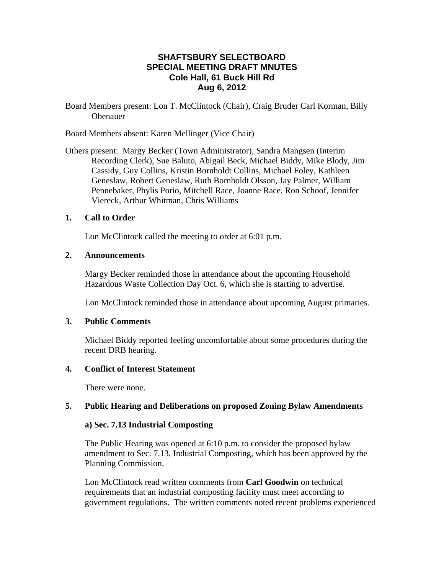# **SHAFTSBURY SELECTBOARD SPECIAL MEETING DRAFT MNUTES Cole Hall, 61 Buck Hill Rd Aug 6, 2012**

Board Members present: Lon T. McClintock (Chair), Craig Bruder Carl Korman, Billy Obenauer

Board Members absent: Karen Mellinger (Vice Chair)

Others present: Margy Becker (Town Administrator), Sandra Mangsen (Interim Recording Clerk), Sue Baluto, Abigail Beck, Michael Biddy, Mike Blody, Jim Cassidy, Guy Collins, Kristin Bornholdt Collins, Michael Foley, Kathleen Geneslaw, Robert Geneslaw, Ruth Bornholdt Olsson, Jay Palmer, William Pennebaker, Phylis Porio, Mitchell Race, Joanne Race, Ron Schoof, Jennifer Viereck, Arthur Whitman, Chris Williams

### **1. Call to Order**

Lon McClintock called the meeting to order at 6:01 p.m.

### **2. Announcements**

Margy Becker reminded those in attendance about the upcoming Household Hazardous Waste Collection Day Oct. 6, which she is starting to advertise.

Lon McClintock reminded those in attendance about upcoming August primaries.

### **3. Public Comments**

Michael Biddy reported feeling uncomfortable about some procedures during the recent DRB hearing.

### **4. Conflict of Interest Statement**

There were none.

### **5. Public Hearing and Deliberations on proposed Zoning Bylaw Amendments**

### **a) Sec. 7.13 Industrial Composting**

The Public Hearing was opened at 6:10 p.m. to consider the proposed bylaw amendment to Sec. 7.13, Industrial Composting, which has been approved by the Planning Commission.

Lon McClintock read written comments from **Carl Goodwin** on technical requirements that an industrial composting facility must meet according to government regulations. The written comments noted recent problems experienced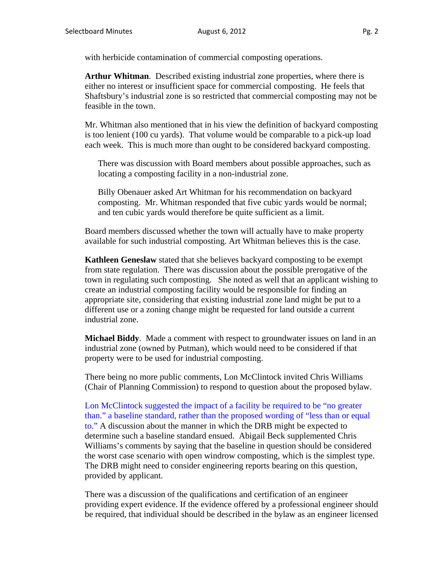with herbicide contamination of commercial composting operations.

**Arthur Whitman**. Described existing industrial zone properties, where there is either no interest or insufficient space for commercial composting. He feels that Shaftsbury's industrial zone is so restricted that commercial composting may not be feasible in the town.

Mr. Whitman also mentioned that in his view the definition of backyard composting is too lenient (100 cu yards). That volume would be comparable to a pick-up load each week. This is much more than ought to be considered backyard composting.

There was discussion with Board members about possible approaches, such as locating a composting facility in a non-industrial zone.

Billy Obenauer asked Art Whitman for his recommendation on backyard composting. Mr. Whitman responded that five cubic yards would be normal; and ten cubic yards would therefore be quite sufficient as a limit.

Board members discussed whether the town will actually have to make property available for such industrial composting. Art Whitman believes this is the case.

**Kathleen Geneslaw** stated that she believes backyard composting to be exempt from state regulation. There was discussion about the possible prerogative of the town in regulating such composting. She noted as well that an applicant wishing to create an industrial composting facility would be responsible for finding an appropriate site, considering that existing industrial zone land might be put to a different use or a zoning change might be requested for land outside a current industrial zone.

**Michael Biddy**.Made a comment with respect to groundwater issues on land in an industrial zone (owned by Putman), which would need to be considered if that property were to be used for industrial composting.

There being no more public comments, Lon McClintock invited Chris Williams (Chair of Planning Commission) to respond to question about the proposed bylaw.

Lon McClintock suggested the impact of a facility be required to be "no greater than." a baseline standard, rather than the proposed wording of "less than or equal to." A discussion about the manner in which the DRB might be expected to determine such a baseline standard ensued. Abigail Beck supplemented Chris Williams's comments by saying that the baseline in question should be considered the worst case scenario with open windrow composting, which is the simplest type. The DRB might need to consider engineering reports bearing on this question, provided by applicant.

There was a discussion of the qualifications and certification of an engineer providing expert evidence. If the evidence offered by a professional engineer should be required, that individual should be described in the bylaw as an engineer licensed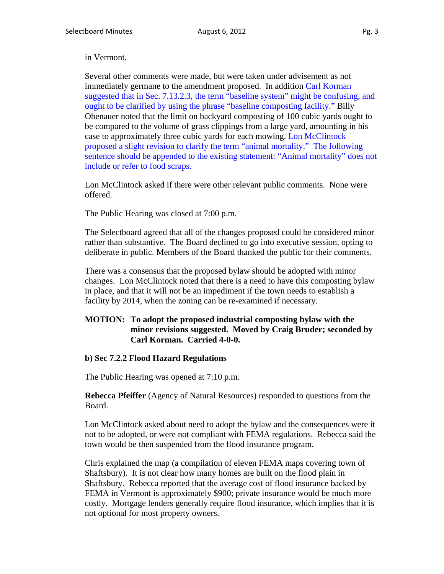#### in Vermont.

Several other comments were made, but were taken under advisement as not immediately germane to the amendment proposed. In addition Carl Korman suggested that in Sec. 7.13.2.3, the term "baseline system" might be confusing, and ought to be clarified by using the phrase "baseline composting facility." Billy Obenauer noted that the limit on backyard composting of 100 cubic yards ought to be compared to the volume of grass clippings from a large yard, amounting in his case to approximately three cubic yards for each mowing. Lon McClintock proposed a slight revision to clarify the term "animal mortality." The following sentence should be appended to the existing statement: "Animal mortality" does not include or refer to food scraps.

Lon McClintock asked if there were other relevant public comments. None were offered.

The Public Hearing was closed at 7:00 p.m.

The Selectboard agreed that all of the changes proposed could be considered minor rather than substantive. The Board declined to go into executive session, opting to deliberate in public. Members of the Board thanked the public for their comments.

There was a consensus that the proposed bylaw should be adopted with minor changes. Lon McClintock noted that there is a need to have this composting bylaw in place, and that it will not be an impediment if the town needs to establish a facility by 2014, when the zoning can be re-examined if necessary.

### **MOTION: To adopt the proposed industrial composting bylaw with the minor revisions suggested. Moved by Craig Bruder; seconded by Carl Korman. Carried 4-0-0.**

### **b) Sec 7.2.2 Flood Hazard Regulations**

The Public Hearing was opened at 7:10 p.m.

**Rebecca Pfeiffer** (Agency of Natural Resources) responded to questions from the Board.

Lon McClintock asked about need to adopt the bylaw and the consequences were it not to be adopted, or were not compliant with FEMA regulations. Rebecca said the town would be then suspended from the flood insurance program.

Chris explained the map (a compilation of eleven FEMA maps covering town of Shaftsbury). It is not clear how many homes are built on the flood plain in Shaftsbury. Rebecca reported that the average cost of flood insurance backed by FEMA in Vermont is approximately \$900; private insurance would be much more costly. Mortgage lenders generally require flood insurance, which implies that it is not optional for most property owners.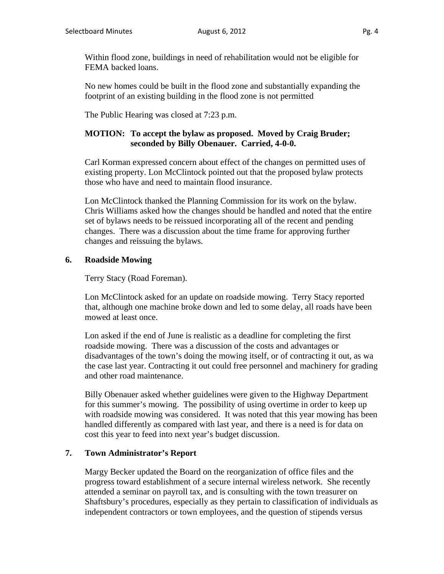Within flood zone, buildings in need of rehabilitation would not be eligible for FEMA backed loans.

No new homes could be built in the flood zone and substantially expanding the footprint of an existing building in the flood zone is not permitted

The Public Hearing was closed at 7:23 p.m.

# **MOTION: To accept the bylaw as proposed. Moved by Craig Bruder; seconded by Billy Obenauer. Carried, 4-0-0.**

Carl Korman expressed concern about effect of the changes on permitted uses of existing property. Lon McClintock pointed out that the proposed bylaw protects those who have and need to maintain flood insurance.

Lon McClintock thanked the Planning Commission for its work on the bylaw. Chris Williams asked how the changes should be handled and noted that the entire set of bylaws needs to be reissued incorporating all of the recent and pending changes. There was a discussion about the time frame for approving further changes and reissuing the bylaws.

# **6. Roadside Mowing**

Terry Stacy (Road Foreman).

Lon McClintock asked for an update on roadside mowing. Terry Stacy reported that, although one machine broke down and led to some delay, all roads have been mowed at least once.

Lon asked if the end of June is realistic as a deadline for completing the first roadside mowing. There was a discussion of the costs and advantages or disadvantages of the town's doing the mowing itself, or of contracting it out, as wa the case last year. Contracting it out could free personnel and machinery for grading and other road maintenance.

Billy Obenauer asked whether guidelines were given to the Highway Department for this summer's mowing. The possibility of using overtime in order to keep up with roadside mowing was considered. It was noted that this year mowing has been handled differently as compared with last year, and there is a need is for data on cost this year to feed into next year's budget discussion.

## **7. Town Administrator's Report**

Margy Becker updated the Board on the reorganization of office files and the progress toward establishment of a secure internal wireless network. She recently attended a seminar on payroll tax, and is consulting with the town treasurer on Shaftsbury's procedures, especially as they pertain to classification of individuals as independent contractors or town employees, and the question of stipends versus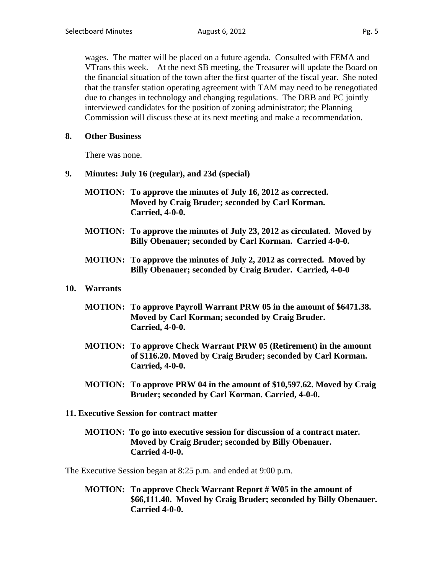wages. The matter will be placed on a future agenda. Consulted with FEMA and VTrans this week. At the next SB meeting, the Treasurer will update the Board on the financial situation of the town after the first quarter of the fiscal year. She noted that the transfer station operating agreement with TAM may need to be renegotiated due to changes in technology and changing regulations. The DRB and PC jointly interviewed candidates for the position of zoning administrator; the Planning Commission will discuss these at its next meeting and make a recommendation.

### **8. Other Business**

There was none.

- **9. Minutes: July 16 (regular), and 23d (special)**
	- **MOTION: To approve the minutes of July 16, 2012 as corrected. Moved by Craig Bruder; seconded by Carl Korman. Carried, 4-0-0.**
	- **MOTION: To approve the minutes of July 23, 2012 as circulated. Moved by Billy Obenauer; seconded by Carl Korman. Carried 4-0-0.**
	- **MOTION: To approve the minutes of July 2, 2012 as corrected. Moved by Billy Obenauer; seconded by Craig Bruder. Carried, 4-0-0**

### **10. Warrants**

- **MOTION: To approve Payroll Warrant PRW 05 in the amount of \$6471.38. Moved by Carl Korman; seconded by Craig Bruder. Carried, 4-0-0.**
- **MOTION: To approve Check Warrant PRW 05 (Retirement) in the amount of \$116.20. Moved by Craig Bruder; seconded by Carl Korman. Carried, 4-0-0.**
- **MOTION: To approve PRW 04 in the amount of \$10,597.62. Moved by Craig Bruder; seconded by Carl Korman. Carried, 4-0-0.**

## **11. Executive Session for contract matter**

### **MOTION: To go into executive session for discussion of a contract mater. Moved by Craig Bruder; seconded by Billy Obenauer. Carried 4-0-0.**

The Executive Session began at 8:25 p.m. and ended at 9:00 p.m.

**MOTION: To approve Check Warrant Report # W05 in the amount of \$66,111.40. Moved by Craig Bruder; seconded by Billy Obenauer. Carried 4-0-0.**